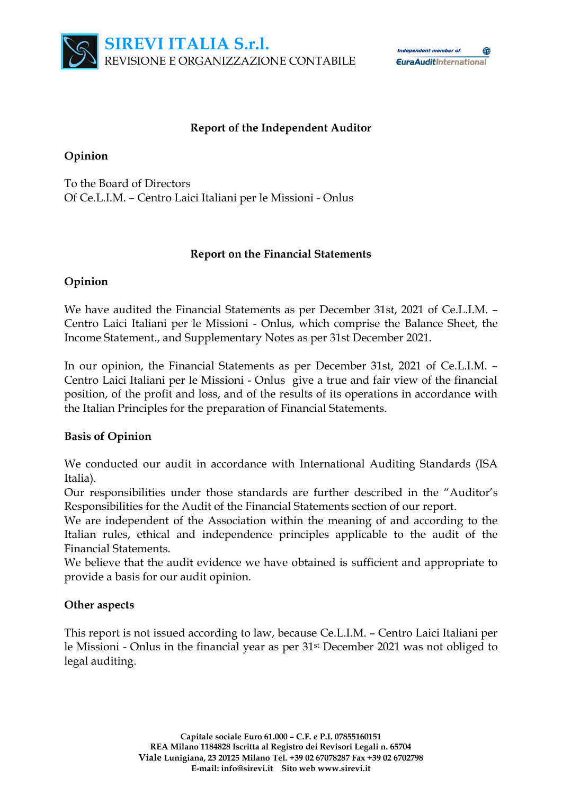

Independent member of 龠 **EuraAuditInternational** 

#### **Report of the Independent Auditor**

#### **Opinion**

To the Board of Directors Of Ce.L.I.M. – Centro Laici Italiani per le Missioni - Onlus

# **Report on the Financial Statements**

# **Opinion**

We have audited the Financial Statements as per December 31st, 2021 of Ce.L.I.M. – Centro Laici Italiani per le Missioni - Onlus, which comprise the Balance Sheet, the Income Statement., and Supplementary Notes as per 31st December 2021.

In our opinion, the Financial Statements as per December 31st, 2021 of Ce.L.I.M. – Centro Laici Italiani per le Missioni - Onlus give a true and fair view of the financial position, of the profit and loss, and of the results of its operations in accordance with the Italian Principles for the preparation of Financial Statements.

# **Basis of Opinion**

We conducted our audit in accordance with International Auditing Standards (ISA Italia).

Our responsibilities under those standards are further described in the "Auditor's Responsibilities for the Audit of the Financial Statements section of our report.

We are independent of the Association within the meaning of and according to the Italian rules, ethical and independence principles applicable to the audit of the Financial Statements.

We believe that the audit evidence we have obtained is sufficient and appropriate to provide a basis for our audit opinion.

# **Other aspects**

This report is not issued according to law, because Ce.L.I.M. – Centro Laici Italiani per le Missioni - Onlus in the financial year as per 31st December 2021 was not obliged to legal auditing.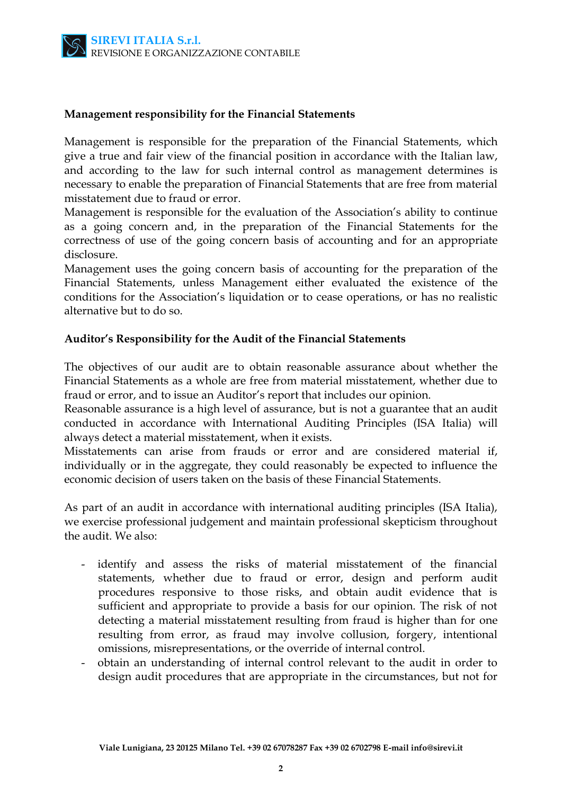

#### **Management responsibility for the Financial Statements**

Management is responsible for the preparation of the Financial Statements, which give a true and fair view of the financial position in accordance with the Italian law, and according to the law for such internal control as management determines is necessary to enable the preparation of Financial Statements that are free from material misstatement due to fraud or error.

Management is responsible for the evaluation of the Association's ability to continue as a going concern and, in the preparation of the Financial Statements for the correctness of use of the going concern basis of accounting and for an appropriate disclosure.

Management uses the going concern basis of accounting for the preparation of the Financial Statements, unless Management either evaluated the existence of the conditions for the Association's liquidation or to cease operations, or has no realistic alternative but to do so.

#### **Auditor's Responsibility for the Audit of the Financial Statements**

The objectives of our audit are to obtain reasonable assurance about whether the Financial Statements as a whole are free from material misstatement, whether due to fraud or error, and to issue an Auditor's report that includes our opinion.

Reasonable assurance is a high level of assurance, but is not a guarantee that an audit conducted in accordance with International Auditing Principles (ISA Italia) will always detect a material misstatement, when it exists.

Misstatements can arise from frauds or error and are considered material if, individually or in the aggregate, they could reasonably be expected to influence the economic decision of users taken on the basis of these Financial Statements.

As part of an audit in accordance with international auditing principles (ISA Italia), we exercise professional judgement and maintain professional skepticism throughout the audit. We also:

- identify and assess the risks of material misstatement of the financial statements, whether due to fraud or error, design and perform audit procedures responsive to those risks, and obtain audit evidence that is sufficient and appropriate to provide a basis for our opinion. The risk of not detecting a material misstatement resulting from fraud is higher than for one resulting from error, as fraud may involve collusion, forgery, intentional omissions, misrepresentations, or the override of internal control.
- obtain an understanding of internal control relevant to the audit in order to design audit procedures that are appropriate in the circumstances, but not for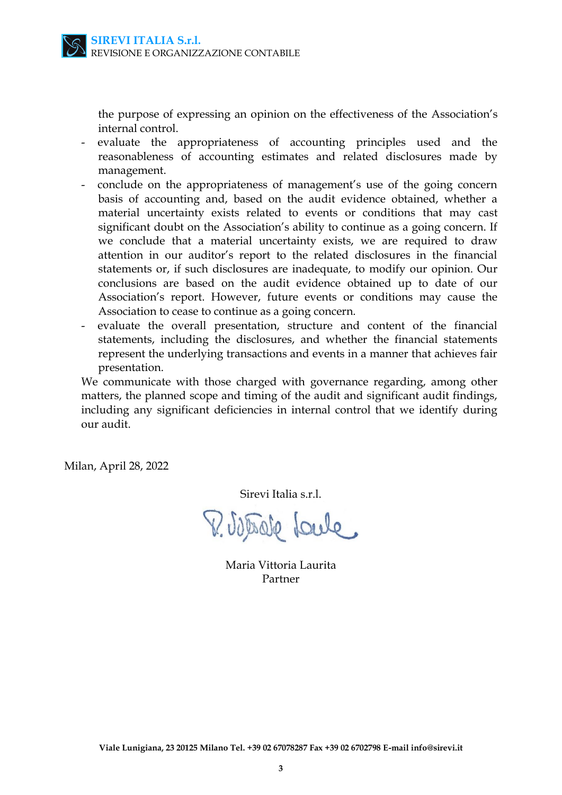

the purpose of expressing an opinion on the effectiveness of the Association's internal control.

- evaluate the appropriateness of accounting principles used and the reasonableness of accounting estimates and related disclosures made by management.
- conclude on the appropriateness of management's use of the going concern basis of accounting and, based on the audit evidence obtained, whether a material uncertainty exists related to events or conditions that may cast significant doubt on the Association's ability to continue as a going concern. If we conclude that a material uncertainty exists, we are required to draw attention in our auditor's report to the related disclosures in the financial statements or, if such disclosures are inadequate, to modify our opinion. Our conclusions are based on the audit evidence obtained up to date of our Association's report. However, future events or conditions may cause the Association to cease to continue as a going concern.
- evaluate the overall presentation, structure and content of the financial statements, including the disclosures, and whether the financial statements represent the underlying transactions and events in a manner that achieves fair presentation.

We communicate with those charged with governance regarding, among other matters, the planned scope and timing of the audit and significant audit findings, including any significant deficiencies in internal control that we identify during our audit.

Milan, April 28, 2022

Sirevi Italia s.r.l.

V. Vitrale Loule

Maria Vittoria Laurita Partner